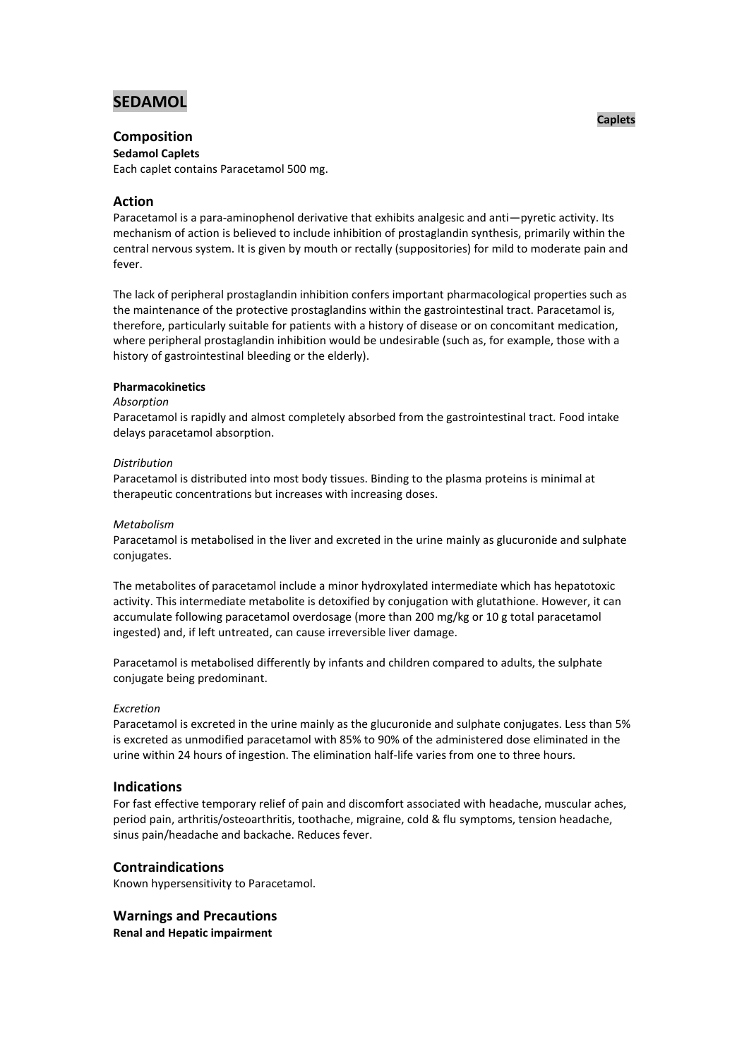# **SEDAMOL**

# **Composition**

**Sedamol Caplets** Each caplet contains Paracetamol 500 mg.

# **Action**

Paracetamol is a para-aminophenol derivative that exhibits analgesic and anti—pyretic activity. Its mechanism of action is believed to include inhibition of prostaglandin synthesis, primarily within the central nervous system. It is given by mouth or rectally (suppositories) for mild to moderate pain and fever.

The lack of peripheral prostaglandin inhibition confers important pharmacological properties such as the maintenance of the protective prostaglandins within the gastrointestinal tract. Paracetamol is, therefore, particularly suitable for patients with a history of disease or on concomitant medication, where peripheral prostaglandin inhibition would be undesirable (such as, for example, those with a history of gastrointestinal bleeding or the elderly).

# **Pharmacokinetics**

## *Absorption*

Paracetamol is rapidly and almost completely absorbed from the gastrointestinal tract. Food intake delays paracetamol absorption.

## *Distribution*

Paracetamol is distributed into most body tissues. Binding to the plasma proteins is minimal at therapeutic concentrations but increases with increasing doses.

## *Metabolism*

Paracetamol is metabolised in the liver and excreted in the urine mainly as glucuronide and sulphate conjugates.

The metabolites of paracetamol include a minor hydroxylated intermediate which has hepatotoxic activity. This intermediate metabolite is detoxified by conjugation with glutathione. However, it can accumulate following paracetamol overdosage (more than 200 mg/kg or 10 g total paracetamol ingested) and, if left untreated, can cause irreversible liver damage.

Paracetamol is metabolised differently by infants and children compared to adults, the sulphate conjugate being predominant.

#### *Excretion*

Paracetamol is excreted in the urine mainly as the glucuronide and sulphate conjugates. Less than 5% is excreted as unmodified paracetamol with 85% to 90% of the administered dose eliminated in the urine within 24 hours of ingestion. The elimination half-life varies from one to three hours.

# **Indications**

For fast effective temporary relief of pain and discomfort associated with headache, muscular aches, period pain, arthritis/osteoarthritis, toothache, migraine, cold & flu symptoms, tension headache, sinus pain/headache and backache. Reduces fever.

# **Contraindications**

Known hypersensitivity to Paracetamol.

# **Warnings and Precautions**

**Renal and Hepatic impairment**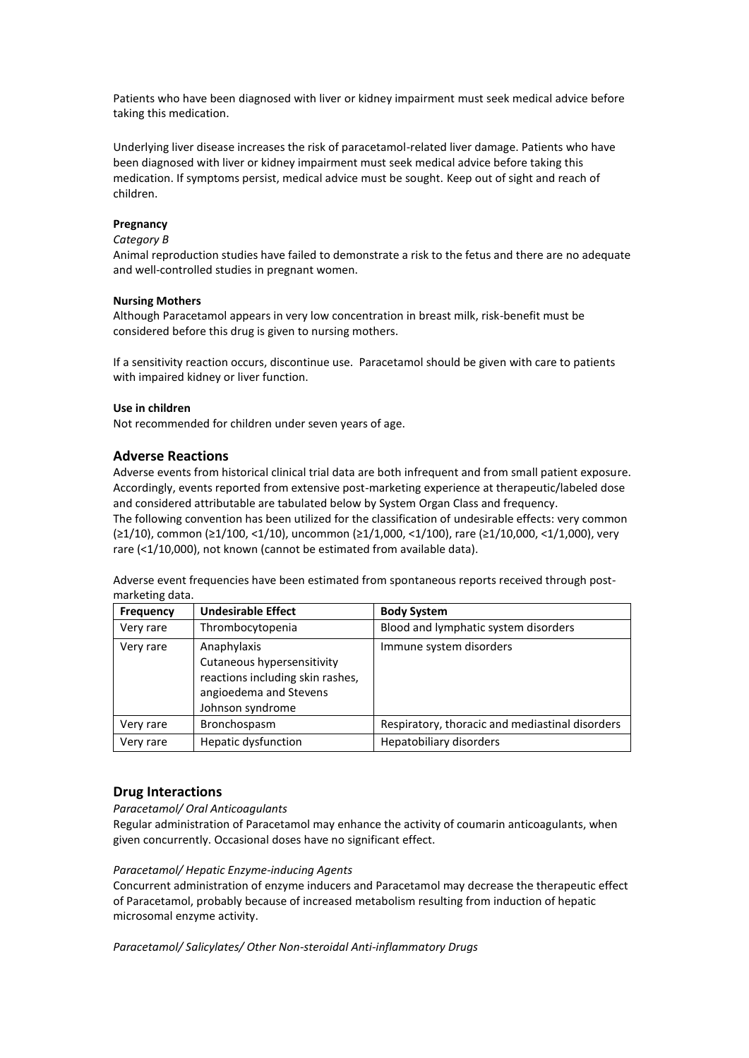Patients who have been diagnosed with liver or kidney impairment must seek medical advice before taking this medication.

Underlying liver disease increases the risk of paracetamol-related liver damage. Patients who have been diagnosed with liver or kidney impairment must seek medical advice before taking this medication. If symptoms persist, medical advice must be sought. Keep out of sight and reach of children.

### **Pregnancy**

## *Category B*

Animal reproduction studies have failed to demonstrate a risk to the fetus and there are no adequate and well-controlled studies in pregnant women.

#### **Nursing Mothers**

Although Paracetamol appears in very low concentration in breast milk, risk-benefit must be considered before this drug is given to nursing mothers.

If a sensitivity reaction occurs, discontinue use. Paracetamol should be given with care to patients with impaired kidney or liver function.

#### **Use in children**

Not recommended for children under seven years of age.

## **Adverse Reactions**

Adverse events from historical clinical trial data are both infrequent and from small patient exposure. Accordingly, events reported from extensive post-marketing experience at therapeutic/labeled dose and considered attributable are tabulated below by System Organ Class and frequency. The following convention has been utilized for the classification of undesirable effects: very common

(≥1/10), common (≥1/100, <1/10), uncommon (≥1/1,000, <1/100), rare (≥1/10,000, <1/1,000), very rare (<1/10,000), not known (cannot be estimated from available data).

Adverse event frequencies have been estimated from spontaneous reports received through postmarketing data.

| Frequency | <b>Undesirable Effect</b>                                                                                                   | <b>Body System</b>                              |
|-----------|-----------------------------------------------------------------------------------------------------------------------------|-------------------------------------------------|
| Very rare | Thrombocytopenia                                                                                                            | Blood and lymphatic system disorders            |
| Very rare | Anaphylaxis<br>Cutaneous hypersensitivity<br>reactions including skin rashes,<br>angioedema and Stevens<br>Johnson syndrome | Immune system disorders                         |
| Very rare | Bronchospasm                                                                                                                | Respiratory, thoracic and mediastinal disorders |
| Very rare | <b>Hepatic dysfunction</b>                                                                                                  | Hepatobiliary disorders                         |

## **Drug Interactions**

#### *Paracetamol/ Oral Anticoagulants*

Regular administration of Paracetamol may enhance the activity of coumarin anticoagulants, when given concurrently. Occasional doses have no significant effect.

#### *Paracetamol/ Hepatic Enzyme-inducing Agents*

Concurrent administration of enzyme inducers and Paracetamol may decrease the therapeutic effect of Paracetamol, probably because of increased metabolism resulting from induction of hepatic microsomal enzyme activity.

*Paracetamol/ Salicylates/ Other Non-steroidal Anti-inflammatory Drugs*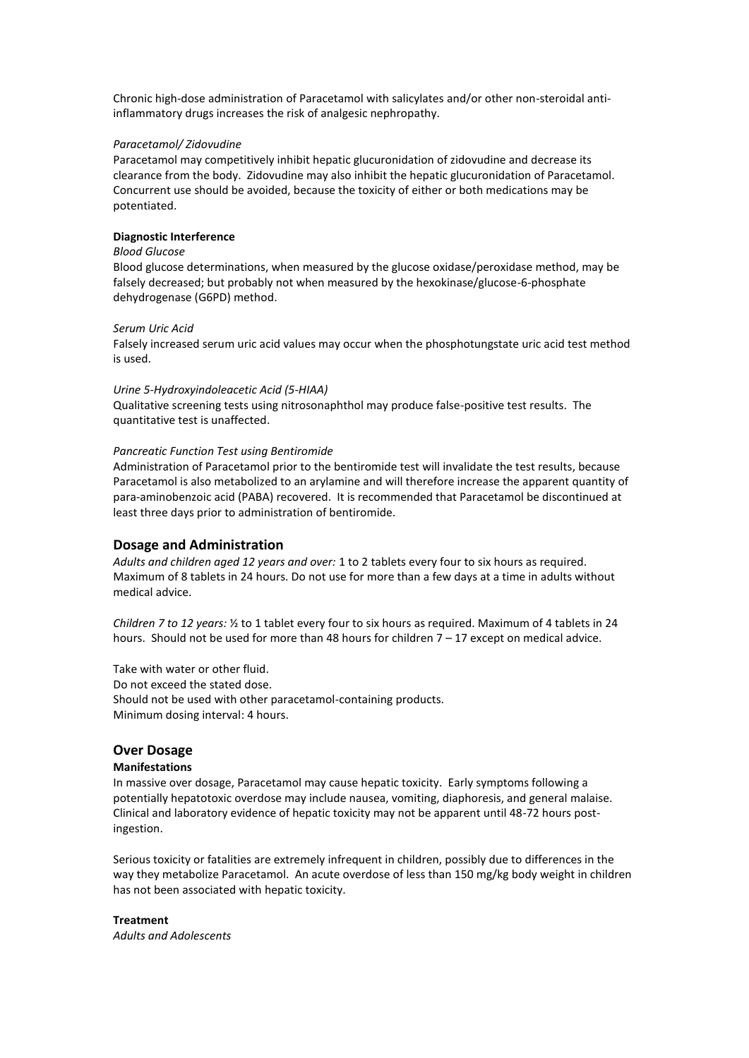Chronic high-dose administration of Paracetamol with salicylates and/or other non-steroidal antiinflammatory drugs increases the risk of analgesic nephropathy.

#### *Paracetamol/ Zidovudine*

Paracetamol may competitively inhibit hepatic glucuronidation of zidovudine and decrease its clearance from the body. Zidovudine may also inhibit the hepatic glucuronidation of Paracetamol. Concurrent use should be avoided, because the toxicity of either or both medications may be potentiated.

#### **Diagnostic Interference**

# *Blood Glucose*

Blood glucose determinations, when measured by the glucose oxidase/peroxidase method, may be falsely decreased; but probably not when measured by the hexokinase/glucose-6-phosphate dehydrogenase (G6PD) method.

#### *Serum Uric Acid*

Falsely increased serum uric acid values may occur when the phosphotungstate uric acid test method is used.

#### *Urine 5-Hydroxyindoleacetic Acid (5-HIAA)*

Qualitative screening tests using nitrosonaphthol may produce false-positive test results. The quantitative test is unaffected.

#### *Pancreatic Function Test using Bentiromide*

Administration of Paracetamol prior to the bentiromide test will invalidate the test results, because Paracetamol is also metabolized to an arylamine and will therefore increase the apparent quantity of para-aminobenzoic acid (PABA) recovered. It is recommended that Paracetamol be discontinued at least three days prior to administration of bentiromide.

### **Dosage and Administration**

*Adults and children aged 12 years and over:* 1 to 2 tablets every four to six hours as required. Maximum of 8 tablets in 24 hours. Do not use for more than a few days at a time in adults without medical advice.

*Children 7 to 12 years:* ½ to 1 tablet every four to six hours as required. Maximum of 4 tablets in 24 hours. Should not be used for more than 48 hours for children 7 – 17 except on medical advice.

Take with water or other fluid. Do not exceed the stated dose. Should not be used with other paracetamol-containing products. Minimum dosing interval: 4 hours.

# **Over Dosage**

## **Manifestations**

In massive over dosage, Paracetamol may cause hepatic toxicity. Early symptoms following a potentially hepatotoxic overdose may include nausea, vomiting, diaphoresis, and general malaise. Clinical and laboratory evidence of hepatic toxicity may not be apparent until 48-72 hours postingestion.

Serious toxicity or fatalities are extremely infrequent in children, possibly due to differences in the way they metabolize Paracetamol. An acute overdose of less than 150 mg/kg body weight in children has not been associated with hepatic toxicity.

## **Treatment** *Adults and Adolescents*